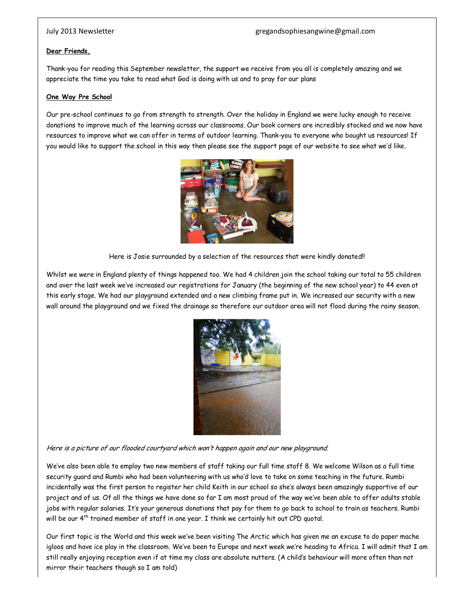## **Dear Friends,**

Thank-you for reading this September newsletter, the support we receive from you all is completely amazing and we appreciate the time you take to read what God is doing with us and to pray for our plans

## **One Way Pre School**

Our pre-school continues to go from strength to strength. Over the holiday in England we were lucky enough to receive donations to improve much of the learning across our classrooms. Our book corners are incredibly stocked and we now have resources to improve what we can offer in terms of outdoor learning. Thank-you to everyone who bought us resources! If you would like to support the school in this way then please see the support page of our website to see what we'd like.



Here is Josie surrounded by a selection of the resources that were kindly donated!!

Whilst we were in England plenty of things happened too. We had 4 children join the school taking our total to 55 children and over the last week we've increased our registrations for January (the beginning of the new school year) to 44 even at this early stage. We had our playground extended and a new climbing frame put in. We increased our security with a new wall around the playground and we fixed the drainage so therefore our outdoor area will not flood during the rainy season.



Here is a picture of our flooded courtyard which won't happen again and our new playground.

We've also been able to employ two new members of staff taking our full time staff 8. We welcome Wilson as a full time security guard and Rumbi who had been volunteering with us who'd love to take on some teaching in the future. Rumbi incidentally was the first person to register her child Keith in our school so she's always been amazingly supportive of our project and of us. Of all the things we have done so far I am most proud of the way we've been able to offer adults stable jobs with regular salaries. It's your generous donations that pay for them to go back to school to train as teachers. Rumbi will be our  $4<sup>th</sup>$  trained member of staff in one year. I think we certainly hit out CPD quotal.

Our first topic is the World and this week we've been visiting The Arctic which has given me an excuse to do paper mache igloos and have ice play in the classroom. We've been to Europe and next week we're heading to Africa. I will admit that I am still really enjoying reception even if at time my class are absolute nutters. (A child's behaviour will more often than not mirror their teachers though so I am told)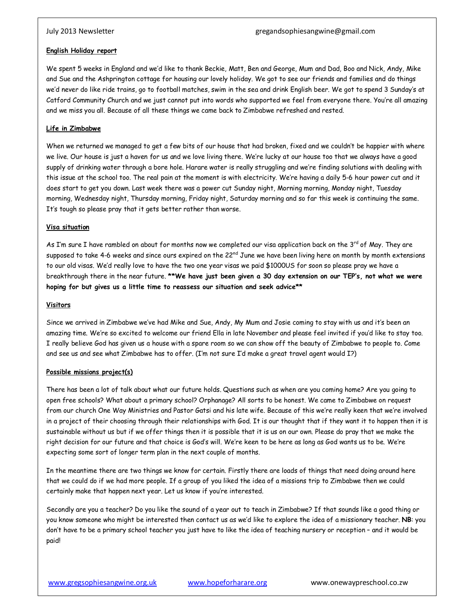## **English Holiday report**

We spent 5 weeks in England and we'd like to thank Beckie, Matt, Ben and George, Mum and Dad, Boo and Nick, Andy, Mike and Sue and the Ashprington cottage for housing our lovely holiday. We got to see our friends and families and do things we'd never do like ride trains, go to football matches, swim in the sea and drink English beer. We got to spend 3 Sunday's at Catford Community Church and we just cannot put into words who supported we feel from everyone there. You're all amazing and we miss you all. Because of all these things we came back to Zimbabwe refreshed and rested.

# **Life in Zimbabwe**

When we returned we managed to get a few bits of our house that had broken, fixed and we couldn't be happier with where we live. Our house is just a haven for us and we love living there. We're lucky at our house too that we always have a good supply of drinking water through a bore hole. Harare water is really struggling and we're finding solutions with dealing with this issue at the school too. The real pain at the moment is with electricity. We're having a daily 5-6 hour power cut and it does start to get you down. Last week there was a power cut Sunday night, Morning morning, Monday night, Tuesday morning, Wednesday night, Thursday morning, Friday night, Saturday morning and so far this week is continuing the same. It's tough so please pray that it gets better rather than worse.

# **Visa situation**

As I'm sure I have rambled on about for months now we completed our visa application back on the 3<sup>rd</sup> of May. They are supposed to take 4-6 weeks and since ours expired on the 22<sup>nd</sup> June we have been living here on month by month extensions to our old visas. We'd really love to have the two one year visas we paid \$1000US for soon so please pray we have a breakthrough there in the near future. **\*\*We have just been given a 30 day extension on our TEP's, not what we were hoping for but gives us a little time to reassess our situation and seek advice\*\***

## **Visitors**

Since we arrived in Zimbabwe we've had Mike and Sue, Andy, My Mum and Josie coming to stay with us and it's been an amazing time. We're so excited to welcome our friend Ella in late November and please feel invited if you'd like to stay too. I really believe God has given us a house with a spare room so we can show off the beauty of Zimbabwe to people to. Come and see us and see what Zimbabwe has to offer. (I'm not sure I'd make a great travel agent would I?)

# **Possible missions project(s)**

There has been a lot of talk about what our future holds. Questions such as when are you coming home? Are you going to open free schools? What about a primary school? Orphanage? All sorts to be honest. We came to Zimbabwe on request from our church One Way Ministries and Pastor Gatsi and his late wife. Because of this we're really keen that we're involved in a project of their choosing through their relationships with God. It is our thought that if they want it to happen then it is sustainable without us but if we offer things then it is possible that it is us on our own. Please do pray that we make the right decision for our future and that choice is God's will. We're keen to be here as long as God wants us to be. We're expecting some sort of longer term plan in the next couple of months.

In the meantime there are two things we know for certain. Firstly there are loads of things that need doing around here that we could do if we had more people. If a group of you liked the idea of a missions trip to Zimbabwe then we could certainly make that happen next year. Let us know if you're interested.

Secondly are you a teacher? Do you like the sound of a year out to teach in Zimbabwe? If that sounds like a good thing or you know someone who might be interested then contact us as we'd like to explore the idea of a missionary teacher. **NB**: you don't have to be a primary school teacher you just have to like the idea of teaching nursery or reception – and it would be paid!